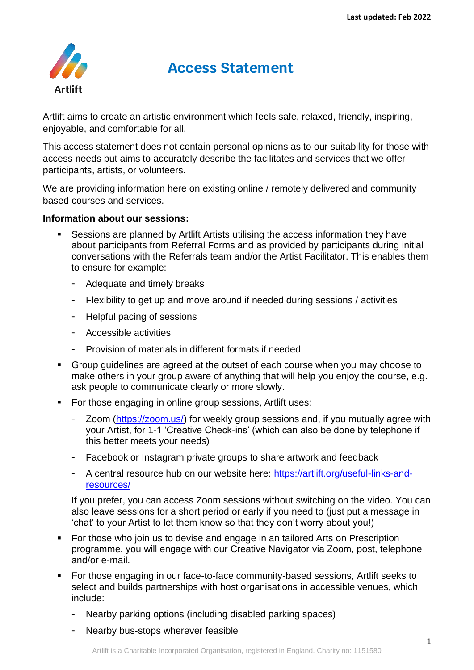

# **Access Statement**

Artlift aims to create an artistic environment which feels safe, relaxed, friendly, inspiring, enjoyable, and comfortable for all.

This access statement does not contain personal opinions as to our suitability for those with access needs but aims to accurately describe the facilitates and services that we offer participants, artists, or volunteers.

We are providing information here on existing online / remotely delivered and community based courses and services.

## **Information about our sessions:**

- Sessions are planned by Artlift Artists utilising the access information they have about participants from Referral Forms and as provided by participants during initial conversations with the Referrals team and/or the Artist Facilitator. This enables them to ensure for example:
	- Adequate and timely breaks
	- Flexibility to get up and move around if needed during sessions / activities
	- Helpful pacing of sessions
	- Accessible activities
	- Provision of materials in different formats if needed
- Group guidelines are agreed at the outset of each course when you may choose to make others in your group aware of anything that will help you enjoy the course, e.g. ask people to communicate clearly or more slowly.
- For those engaging in online group sessions, Artlift uses:
	- Zoom [\(https://zoom.us/\)](https://zoom.us/) for weekly group sessions and, if you mutually agree with your Artist, for 1-1 'Creative Check-ins' (which can also be done by telephone if this better meets your needs)
	- Facebook or Instagram private groups to share artwork and feedback
	- A central resource hub on our website here: [https://artlift.org/useful-links-and](https://artlift.org/useful-links-and-resources/)[resources/](https://artlift.org/useful-links-and-resources/)

If you prefer, you can access Zoom sessions without switching on the video. You can also leave sessions for a short period or early if you need to (just put a message in 'chat' to your Artist to let them know so that they don't worry about you!)

- For those who join us to devise and engage in an tailored Arts on Prescription programme, you will engage with our Creative Navigator via Zoom, post, telephone and/or e-mail.
- For those engaging in our face-to-face community-based sessions, Artlift seeks to select and builds partnerships with host organisations in accessible venues, which include:
	- Nearby parking options (including disabled parking spaces)
	- Nearby bus-stops wherever feasible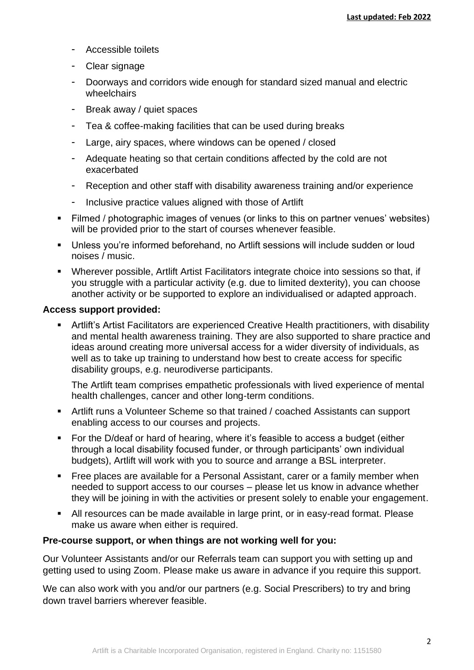- Accessible toilets
- Clear signage
- Doorways and corridors wide enough for standard sized manual and electric wheelchairs
- Break away / quiet spaces
- Tea & coffee-making facilities that can be used during breaks
- Large, airy spaces, where windows can be opened / closed
- Adequate heating so that certain conditions affected by the cold are not exacerbated
- Reception and other staff with disability awareness training and/or experience
- Inclusive practice values aligned with those of Artlift
- Filmed / photographic images of venues (or links to this on partner venues' websites) will be provided prior to the start of courses whenever feasible.
- Unless you're informed beforehand, no Artlift sessions will include sudden or loud noises / music.
- Wherever possible, Artlift Artist Facilitators integrate choice into sessions so that, if you struggle with a particular activity (e.g. due to limited dexterity), you can choose another activity or be supported to explore an individualised or adapted approach.

## **Access support provided:**

**EXECT Artilit's Artist Facilitators are experienced Creative Health practitioners, with disability** and mental health awareness training. They are also supported to share practice and ideas around creating more universal access for a wider diversity of individuals, as well as to take up training to understand how best to create access for specific disability groups, e.g. neurodiverse participants.

The Artlift team comprises empathetic professionals with lived experience of mental health challenges, cancer and other long-term conditions.

- Artlift runs a Volunteer Scheme so that trained / coached Assistants can support enabling access to our courses and projects.
- For the D/deaf or hard of hearing, where it's feasible to access a budget (either through a local disability focused funder, or through participants' own individual budgets), Artlift will work with you to source and arrange a BSL interpreter.
- Free places are available for a Personal Assistant, carer or a family member when needed to support access to our courses – please let us know in advance whether they will be joining in with the activities or present solely to enable your engagement.
- All resources can be made available in large print, or in easy-read format. Please make us aware when either is required.

## **Pre-course support, or when things are not working well for you:**

Our Volunteer Assistants and/or our Referrals team can support you with setting up and getting used to using Zoom. Please make us aware in advance if you require this support.

We can also work with you and/or our partners (e.g. Social Prescribers) to try and bring down travel barriers wherever feasible.